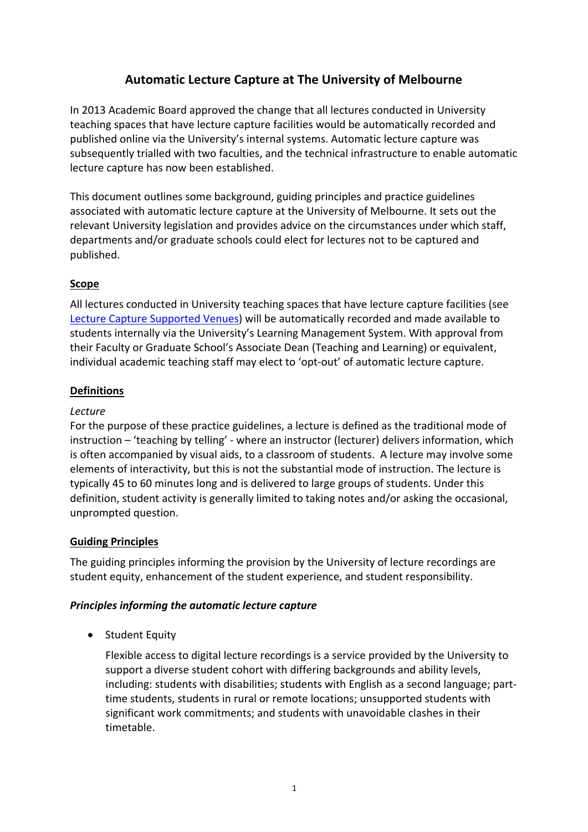# **Automatic Lecture Capture at The University of Melbourne**

In 2013 Academic Board approved the change that all lectures conducted in University teaching spaces that have lecture capture facilities would be automatically recorded and published online via the University's internal systems. Automatic lecture capture was subsequently trialled with two faculties, and the technical infrastructure to enable automatic lecture capture has now been established.

This document outlines some background, guiding principles and practice guidelines associated with automatic lecture capture at the University of Melbourne. It sets out the relevant University legislation and provides advice on the circumstances under which staff, departments and/or graduate schools could elect for lectures not to be captured and published.

## **Scope**

All lectures conducted in University teaching spaces that have lecture capture facilities (see Lecture Capture Supported Venues) will be automatically recorded and made available to students internally via the University's Learning Management System. With approval from their Faculty or Graduate School's Associate Dean (Teaching and Learning) or equivalent, individual academic teaching staff may elect to 'opt‐out' of automatic lecture capture.

### **Definitions**

### *Lecture*

For the purpose of these practice guidelines, a lecture is defined as the traditional mode of instruction – 'teaching by telling' ‐ where an instructor (lecturer) delivers information, which is often accompanied by visual aids, to a classroom of students. A lecture may involve some elements of interactivity, but this is not the substantial mode of instruction. The lecture is typically 45 to 60 minutes long and is delivered to large groups of students. Under this definition, student activity is generally limited to taking notes and/or asking the occasional, unprompted question.

### **Guiding Principles**

The guiding principles informing the provision by the University of lecture recordings are student equity, enhancement of the student experience, and student responsibility.

### *Principles informing the automatic lecture capture*

• Student Equity

Flexible access to digital lecture recordings is a service provided by the University to support a diverse student cohort with differing backgrounds and ability levels, including: students with disabilities; students with English as a second language; part‐ time students, students in rural or remote locations; unsupported students with significant work commitments; and students with unavoidable clashes in their timetable.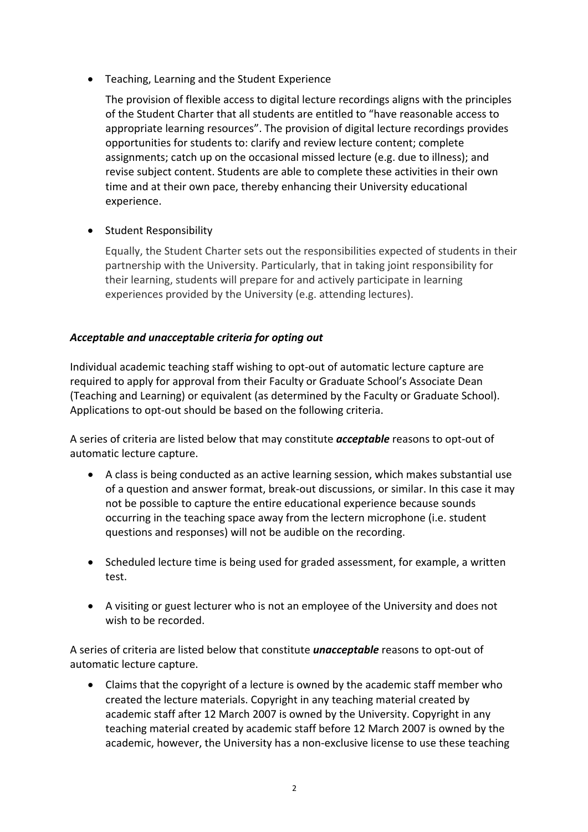Teaching, Learning and the Student Experience

The provision of flexible access to digital lecture recordings aligns with the principles of the Student Charter that all students are entitled to "have reasonable access to appropriate learning resources". The provision of digital lecture recordings provides opportunities for students to: clarify and review lecture content; complete assignments; catch up on the occasional missed lecture (e.g. due to illness); and revise subject content. Students are able to complete these activities in their own time and at their own pace, thereby enhancing their University educational experience.

**•** Student Responsibility

Equally, the Student Charter sets out the responsibilities expected of students in their partnership with the University. Particularly, that in taking joint responsibility for their learning, students will prepare for and actively participate in learning experiences provided by the University (e.g. attending lectures).

### *Acceptable and unacceptable criteria for opting out*

Individual academic teaching staff wishing to opt‐out of automatic lecture capture are required to apply for approval from their Faculty or Graduate School's Associate Dean (Teaching and Learning) or equivalent (as determined by the Faculty or Graduate School). Applications to opt‐out should be based on the following criteria.

A series of criteria are listed below that may constitute *acceptable* reasons to opt‐out of automatic lecture capture.

- A class is being conducted as an active learning session, which makes substantial use of a question and answer format, break‐out discussions, or similar. In this case it may not be possible to capture the entire educational experience because sounds occurring in the teaching space away from the lectern microphone (i.e. student questions and responses) will not be audible on the recording.
- Scheduled lecture time is being used for graded assessment, for example, a written test.
- A visiting or guest lecturer who is not an employee of the University and does not wish to be recorded.

A series of criteria are listed below that constitute *unacceptable* reasons to opt‐out of automatic lecture capture.

 Claims that the copyright of a lecture is owned by the academic staff member who created the lecture materials. Copyright in any teaching material created by academic staff after 12 March 2007 is owned by the University. Copyright in any teaching material created by academic staff before 12 March 2007 is owned by the academic, however, the University has a non‐exclusive license to use these teaching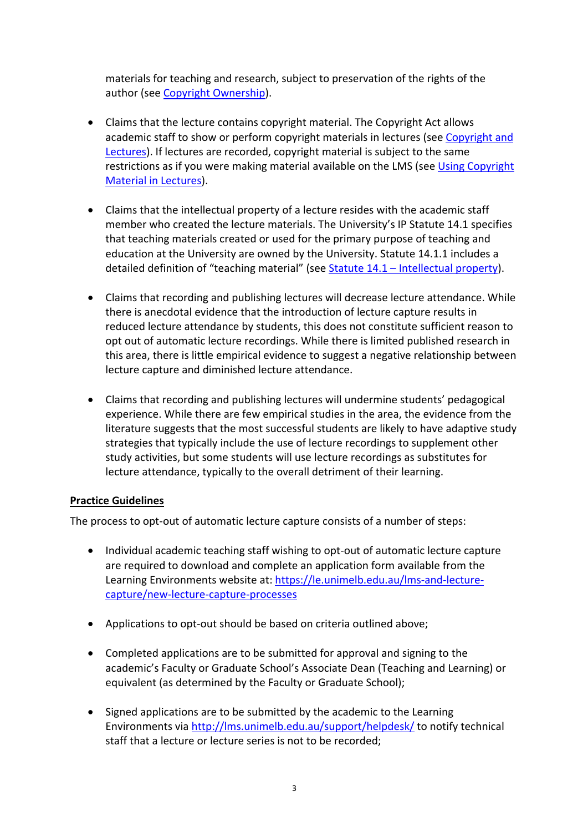materials for teaching and research, subject to preservation of the rights of the author (see Copyright Ownership).

- Claims that the lecture contains copyright material. The Copyright Act allows academic staff to show or perform copyright materials in lectures (see Copyright and Lectures). If lectures are recorded, copyright material is subject to the same restrictions as if you were making material available on the LMS (see Using Copyright Material in Lectures).
- Claims that the intellectual property of a lecture resides with the academic staff member who created the lecture materials. The University's IP Statute 14.1 specifies that teaching materials created or used for the primary purpose of teaching and education at the University are owned by the University. Statute 14.1.1 includes a detailed definition of "teaching material" (see Statute 14.1 – Intellectual property).
- Claims that recording and publishing lectures will decrease lecture attendance. While there is anecdotal evidence that the introduction of lecture capture results in reduced lecture attendance by students, this does not constitute sufficient reason to opt out of automatic lecture recordings. While there is limited published research in this area, there is little empirical evidence to suggest a negative relationship between lecture capture and diminished lecture attendance.
- Claims that recording and publishing lectures will undermine students' pedagogical experience. While there are few empirical studies in the area, the evidence from the literature suggests that the most successful students are likely to have adaptive study strategies that typically include the use of lecture recordings to supplement other study activities, but some students will use lecture recordings as substitutes for lecture attendance, typically to the overall detriment of their learning.

### **Practice Guidelines**

The process to opt-out of automatic lecture capture consists of a number of steps:

- Individual academic teaching staff wishing to opt-out of automatic lecture capture are required to download and complete an application form available from the Learning Environments website at: https://le.unimelb.edu.au/lms‐and‐lecture‐ capture/new‐lecture‐capture‐processes
- Applications to opt-out should be based on criteria outlined above;
- Completed applications are to be submitted for approval and signing to the academic's Faculty or Graduate School's Associate Dean (Teaching and Learning) or equivalent (as determined by the Faculty or Graduate School);
- Signed applications are to be submitted by the academic to the Learning Environments via http://lms.unimelb.edu.au/support/helpdesk/ to notify technical staff that a lecture or lecture series is not to be recorded;